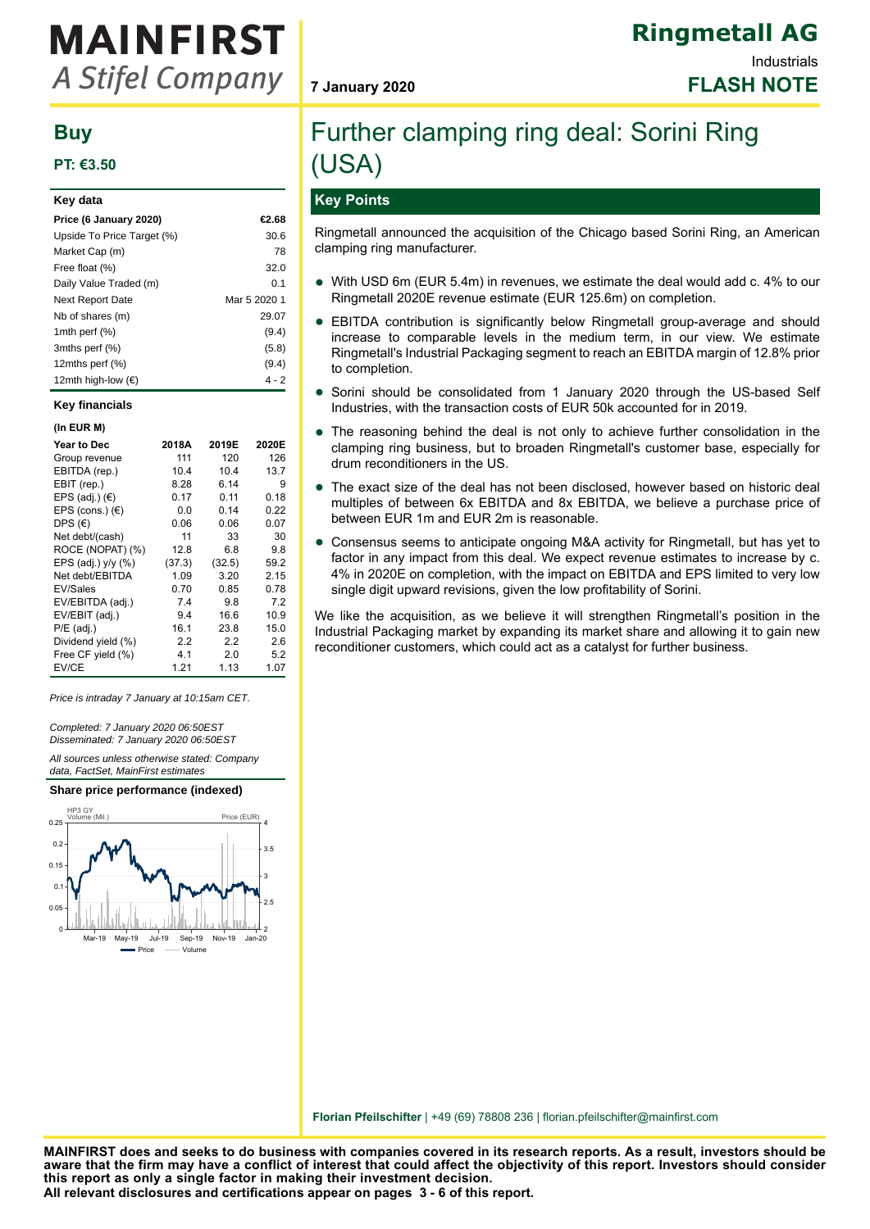# **MAINFIRST A Stifel Company**

# **Buy**

# **PT: €3.50**

| Key data                   |              |
|----------------------------|--------------|
| Price (6 January 2020)     | €2.68        |
| Upside To Price Target (%) | 30.6         |
| Market Cap (m)             | 78           |
| Free float (%)             | 32.0         |
| Daily Value Traded (m)     | 0.1          |
| <b>Next Report Date</b>    | Mar 5 2020 1 |
| Nb of shares (m)           | 29.07        |
| 1mth perf $(\%)$           | (9.4)        |
| 3mths perf (%)             | (5.8)        |
| 12 $m$ ths perf $(\%)$     | (9.4)        |
| 12mth high-low (€)         | 4 - 2        |

#### **Key financials**

| (In EUR M)         |        |        |       |
|--------------------|--------|--------|-------|
| <b>Year to Dec</b> | 2018A  | 2019E  | 2020E |
| Group revenue      | 111    | 120    | 126   |
| EBITDA (rep.)      | 10.4   | 10.4   | 13.7  |
| EBIT (rep.)        | 8.28   | 6.14   | 9     |
| EPS (adj.) $(E)$   | 0.17   | 0.11   | 0.18  |
| EPS (cons.) $(E)$  | 0.0    | 0.14   | 0.22  |
| DPS $(€)$          | 0.06   | 0.06   | 0.07  |
| Net debt/(cash)    | 11     | 33     | 30    |
| ROCE (NOPAT) (%)   | 12.8   | 6.8    | 9.8   |
| EPS (adj.) y/y (%) | (37.3) | (32.5) | 59.2  |
| Net debt/EBITDA    | 1.09   | 3.20   | 2.15  |
| <b>EV/Sales</b>    | 0.70   | 0.85   | 0.78  |
| EV/EBITDA (adj.)   | 7.4    | 9.8    | 7.2   |
| EV/EBIT (adj.)     | 9.4    | 16.6   | 10.9  |
| $P/E$ (adj.)       | 16.1   | 23.8   | 15.0  |
| Dividend yield (%) | 2.2    | 2.2    | 2.6   |
| Free CF yield (%)  | 4.1    | 2.0    | 5.2   |
| EV/CE              | 1.21   | 1.13   | 1.07  |

Price is intraday 7 January at 10:15am CET.

Completed: 7 January 2020 06:50EST Disseminated: 7 January 2020 06:50EST

All sources unless otherwise stated: Company data, FactSet, MainFirst estimates



# **7 January 2020 FLASH NOTE**

# Further clamping ring deal: Sorini Ring (USA)

# **Key Points**

Ringmetall announced the acquisition of the Chicago based Sorini Ring, an American clamping ring manufacturer.

- With USD 6m (EUR 5.4m) in revenues, we estimate the deal would add c. 4% to our Ringmetall 2020E revenue estimate (EUR 125.6m) on completion.
- EBITDA contribution is significantly below Ringmetall group-average and should<br>increase to comparable loyels in the modium term in our view. We estimate increase to comparable levels in the medium term, in our view. We estimate Ringmetall's Industrial Packaging segment to reach an EBITDA margin of 12.8% prior to completion.
- Sorini should be consolidated from 1 January 2020 through the US-based Self Industries, with the transaction costs of EUR 50k accounted for in 2019.
- $\bullet$ The reasoning behind the deal is not only to achieve further consolidation in the clamping ring business, but to broaden Ringmetall's customer base, especially for drum reconditioners in the US.
- The exact size of the deal has not been disclosed, however based on historic deal<br>multiples of between 6x EBITDA and 8x EBITDA, we believe a purphase price of multiples of between 6x EBITDA and 8x EBITDA, we believe a purchase price of between EUR 1m and EUR 2m is reasonable.
- Consensus seems to anticipate ongoing M&A activity for Ringmetall, but has yet to factor in any impact from this deal. We expect revenue estimates to increase by c. 4% in 2020E on completion, with the impact on EBITDA and EPS limited to very low single digit upward revisions, given the low profitability of Sorini.

We like the acquisition, as we believe it will strengthen Ringmetall's position in the Industrial Packaging market by expanding its market share and allowing it to gain new reconditioner customers, which could act as a catalyst for further business.

**Florian Pfeilschifter** | +49 (69) 78808 236 | florian.pfeilschifter@mainfirst.com

**All relevant disclosures and certifications appear on pages 3 - 6 of this report. MAINFIRST does and seeks to do business with companies covered in its research reports. As a result, investors should be aware that the firm may have a conflict of interest that could affect the objectivity of this report. Investors should consider this report as only a single factor in making their investment decision.**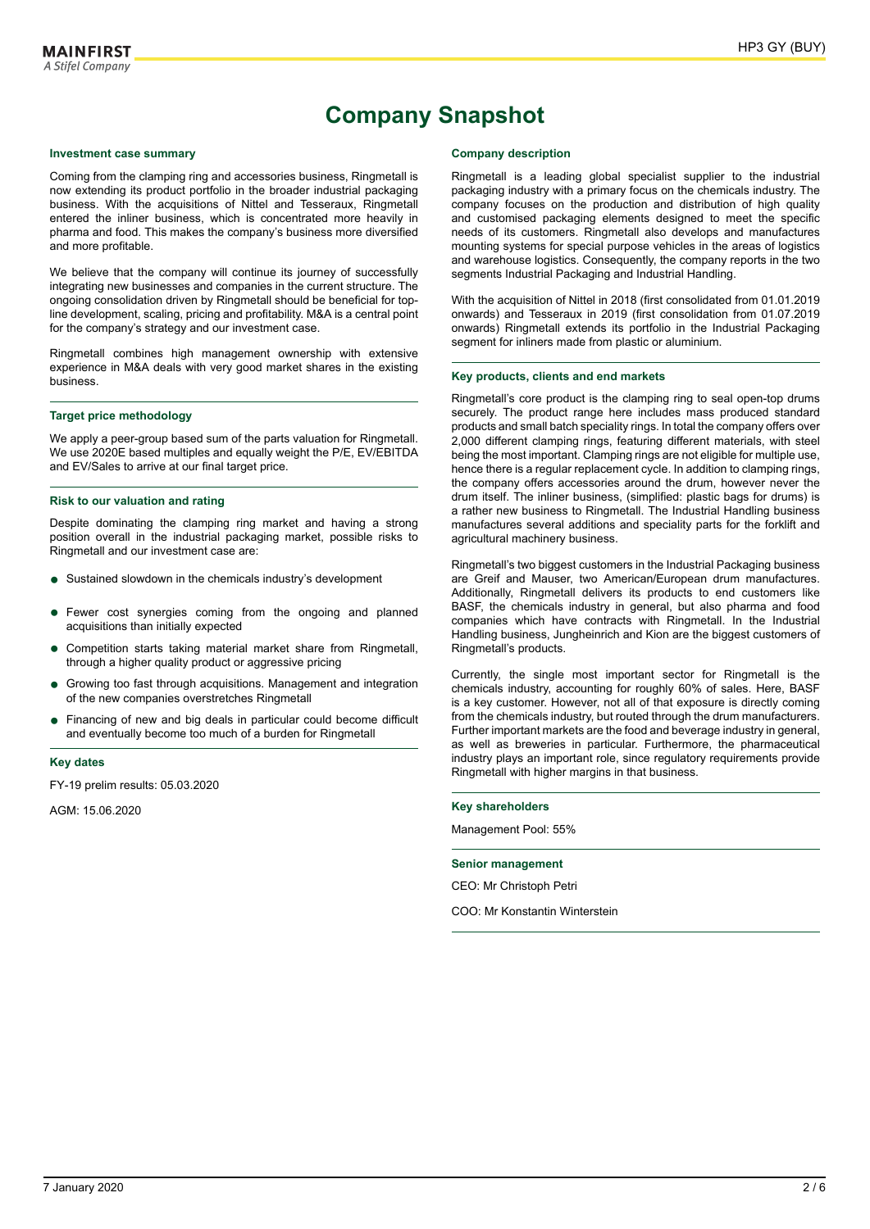# **Company Snapshot**

#### **Investment case summary**

Coming from the clamping ring and accessories business, Ringmetall is now extending its product portfolio in the broader industrial packaging business. With the acquisitions of Nittel and Tesseraux, Ringmetall entered the inliner business, which is concentrated more heavily in pharma and food. This makes the company's business more diversified and more profitable.

We believe that the company will continue its journey of successfully integrating new businesses and companies in the current structure. The ongoing consolidation driven by Ringmetall should be beneficial for topline development, scaling, pricing and profitability. M&A is a central point for the company's strategy and our investment case.

Ringmetall combines high management ownership with extensive experience in M&A deals with very good market shares in the existing business.

#### **Target price methodology**

We apply a peer-group based sum of the parts valuation for Ringmetall. We use 2020E based multiples and equally weight the P/E, EV/EBITDA and EV/Sales to arrive at our final target price.

#### **Risk to our valuation and rating**

Despite dominating the clamping ring market and having a strong position overall in the industrial packaging market, possible risks to Ringmetall and our investment case are:

- Sustained slowdown in the chemicals industry's development
- Fewer cost synergies coming from the ongoing and planned<br>acquisitions than initially expected acquisitions than initially expected
- Competition starts taking material market share from Ringmetall, through a higher quality product or aggressive pricing
- Growing too fast through acquisitions. Management and integration of the new companies overstretches Ringmetall
- Financing of new and big deals in particular could become difficult and eventually become too much of a burden for Ringmetall

#### **Key dates**

FY-19 prelim results: 05.03.2020

AGM: 15.06.2020

#### **Company description**

Ringmetall is a leading global specialist supplier to the industrial packaging industry with a primary focus on the chemicals industry. The company focuses on the production and distribution of high quality and customised packaging elements designed to meet the specific needs of its customers. Ringmetall also develops and manufactures mounting systems for special purpose vehicles in the areas of logistics and warehouse logistics. Consequently, the company reports in the two segments Industrial Packaging and Industrial Handling.

With the acquisition of Nittel in 2018 (first consolidated from 01.01.2019 onwards) and Tesseraux in 2019 (first consolidation from 01.07.2019 onwards) Ringmetall extends its portfolio in the Industrial Packaging segment for inliners made from plastic or aluminium.

#### **Key products, clients and end markets**

Ringmetall's core product is the clamping ring to seal open-top drums securely. The product range here includes mass produced standard products and small batch speciality rings. In total the company offers over 2,000 different clamping rings, featuring different materials, with steel being the most important. Clamping rings are not eligible for multiple use, hence there is a regular replacement cycle. In addition to clamping rings, the company offers accessories around the drum, however never the drum itself. The inliner business, (simplified: plastic bags for drums) is a rather new business to Ringmetall. The Industrial Handling business manufactures several additions and speciality parts for the forklift and agricultural machinery business.

Ringmetall's two biggest customers in the Industrial Packaging business are Greif and Mauser, two American/European drum manufactures. Additionally, Ringmetall delivers its products to end customers like BASF, the chemicals industry in general, but also pharma and food companies which have contracts with Ringmetall. In the Industrial Handling business, Jungheinrich and Kion are the biggest customers of Ringmetall's products.

Currently, the single most important sector for Ringmetall is the chemicals industry, accounting for roughly 60% of sales. Here, BASF is a key customer. However, not all of that exposure is directly coming from the chemicals industry, but routed through the drum manufacturers. Further important markets are the food and beverage industry in general, as well as breweries in particular. Furthermore, the pharmaceutical industry plays an important role, since regulatory requirements provide Ringmetall with higher margins in that business.

#### **Key shareholders**

Management Pool: 55%

#### **Senior management**

CEO: Mr Christoph Petri

COO: Mr Konstantin Winterstein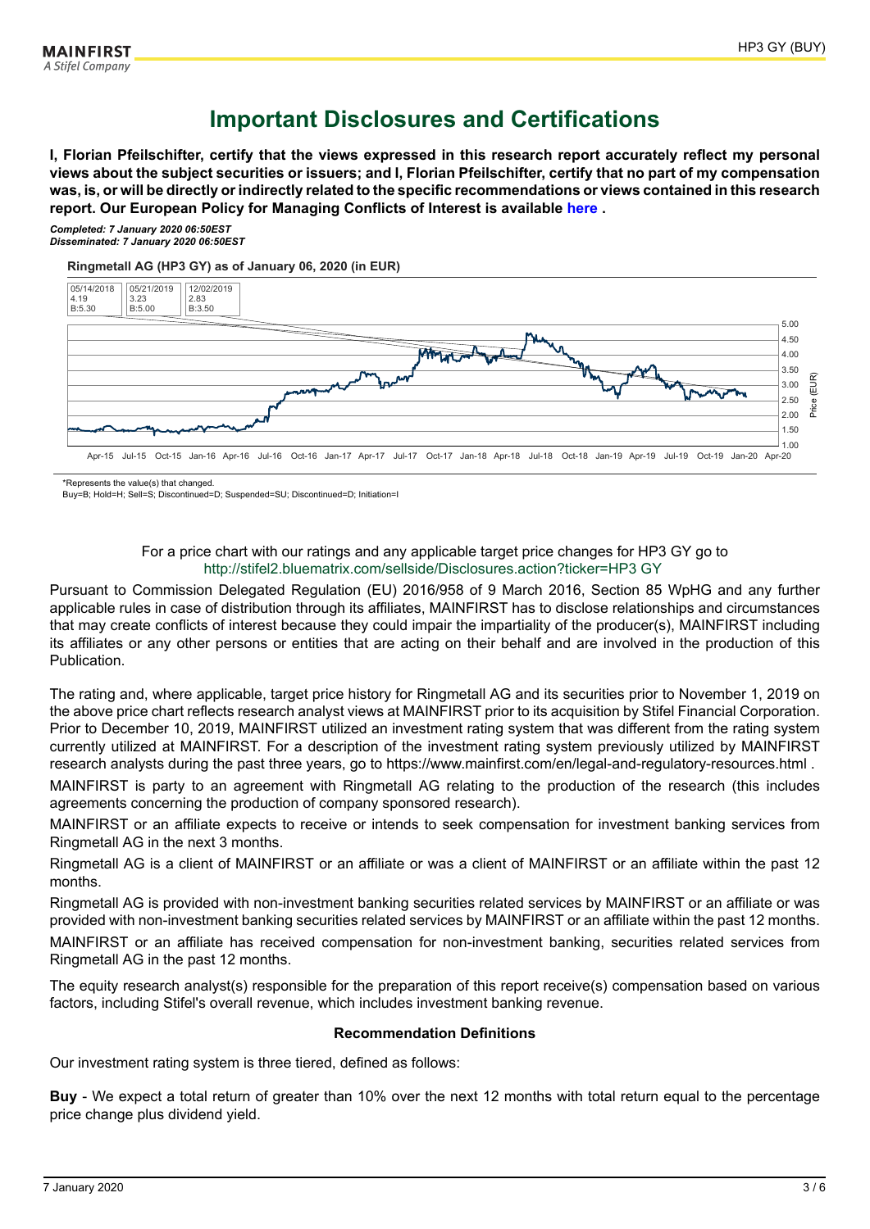# **Important Disclosures and Certifications**

**I, Florian Pfeilschifter, certify that the views expressed in this research report accurately reflect my personal views about the subject securities or issuers; and I, Florian Pfeilschifter, certify that no part of my compensation was, is, or will be directly or indirectly related to the specific recommendations or views contained in this research report. Our European Policy for Managing Conflicts of Interest is available [here](https://www.mainfirst.com/uploads/tx_mainfirstbankdownload/190329_01_MF_Equities_-_Conflicts_of_Interest_Management_Policy_Stifel_version_clean_MFSC.pdf?) .**

*Completed: 7 January 2020 06:50EST Disseminated: 7 January 2020 06:50EST*

**Ringmetall AG (HP3 GY) as of January 06, 2020 (in EUR)**



\*Represents the value(s) that changed.

Buy=B; Hold=H; Sell=S; Discontinued=D; Suspended=SU; Discontinued=D; Initiation=I

### For a price chart with our ratings and any applicable target price changes for HP3 GY go to <http://stifel2.bluematrix.com/sellside/Disclosures.action?ticker=HP3 GY>

Pursuant to Commission Delegated Regulation (EU) 2016/958 of 9 March 2016, Section 85 WpHG and any further applicable rules in case of distribution through its affiliates, MAINFIRST has to disclose relationships and circumstances that may create conflicts of interest because they could impair the impartiality of the producer(s), MAINFIRST including its affiliates or any other persons or entities that are acting on their behalf and are involved in the production of this Publication.

The rating and, where applicable, target price history for Ringmetall AG and its securities prior to November 1, 2019 on the above price chart reflects research analyst views at MAINFIRST prior to its acquisition by Stifel Financial Corporation. Prior to December 10, 2019, MAINFIRST utilized an investment rating system that was different from the rating system currently utilized at MAINFIRST. For a description of the investment rating system previously utilized by MAINFIRST research analysts during the past three years, go to https://www.mainfirst.com/en/legal-and-regulatory-resources.html .

MAINFIRST is party to an agreement with Ringmetall AG relating to the production of the research (this includes agreements concerning the production of company sponsored research).

MAINFIRST or an affiliate expects to receive or intends to seek compensation for investment banking services from Ringmetall AG in the next 3 months.

Ringmetall AG is a client of MAINFIRST or an affiliate or was a client of MAINFIRST or an affiliate within the past 12 months.

Ringmetall AG is provided with non-investment banking securities related services by MAINFIRST or an affiliate or was provided with non-investment banking securities related services by MAINFIRST or an affiliate within the past 12 months. MAINFIRST or an affiliate has received compensation for non-investment banking, securities related services from Ringmetall AG in the past 12 months.

The equity research analyst(s) responsible for the preparation of this report receive(s) compensation based on various factors, including Stifel's overall revenue, which includes investment banking revenue.

# **Recommendation Definitions**

Our investment rating system is three tiered, defined as follows:

**Buy** - We expect a total return of greater than 10% over the next 12 months with total return equal to the percentage price change plus dividend yield.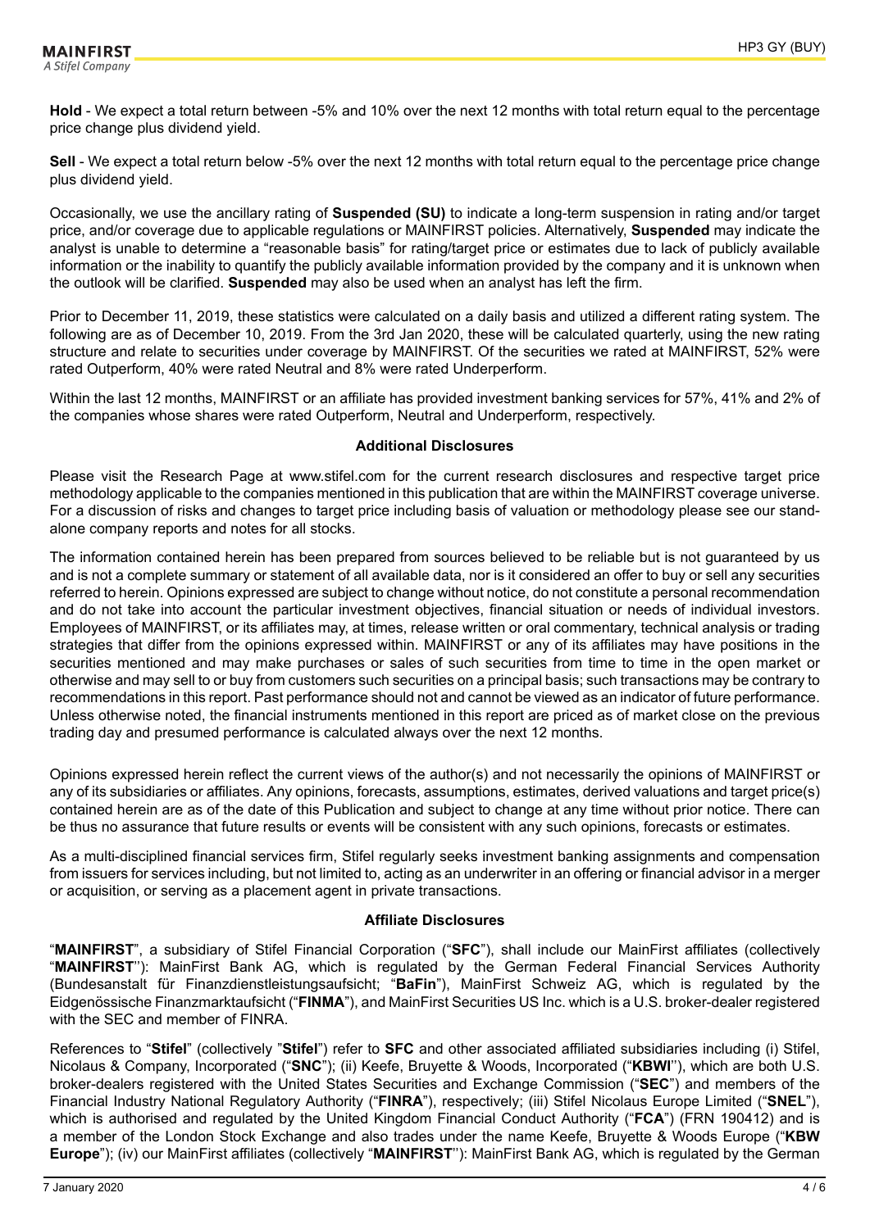**Hold** - We expect a total return between -5% and 10% over the next 12 months with total return equal to the percentage price change plus dividend yield.

**Sell** - We expect a total return below -5% over the next 12 months with total return equal to the percentage price change plus dividend yield.

Occasionally, we use the ancillary rating of **Suspended (SU)** to indicate a long-term suspension in rating and/or target price, and/or coverage due to applicable regulations or MAINFIRST policies. Alternatively, **Suspended** may indicate the analyst is unable to determine a "reasonable basis" for rating/target price or estimates due to lack of publicly available information or the inability to quantify the publicly available information provided by the company and it is unknown when the outlook will be clarified. **Suspended** may also be used when an analyst has left the firm.

Prior to December 11, 2019, these statistics were calculated on a daily basis and utilized a different rating system. The following are as of December 10, 2019. From the 3rd Jan 2020, these will be calculated quarterly, using the new rating structure and relate to securities under coverage by MAINFIRST. Of the securities we rated at MAINFIRST, 52% were rated Outperform, 40% were rated Neutral and 8% were rated Underperform.

Within the last 12 months, MAINFIRST or an affiliate has provided investment banking services for 57%, 41% and 2% of the companies whose shares were rated Outperform, Neutral and Underperform, respectively.

# **Additional Disclosures**

Please visit the Research Page at www.stifel.com for the current research disclosures and respective target price methodology applicable to the companies mentioned in this publication that are within the MAINFIRST coverage universe. For a discussion of risks and changes to target price including basis of valuation or methodology please see our standalone company reports and notes for all stocks.

The information contained herein has been prepared from sources believed to be reliable but is not guaranteed by us and is not a complete summary or statement of all available data, nor is it considered an offer to buy or sell any securities referred to herein. Opinions expressed are subject to change without notice, do not constitute a personal recommendation and do not take into account the particular investment objectives, financial situation or needs of individual investors. Employees of MAINFIRST, or its affiliates may, at times, release written or oral commentary, technical analysis or trading strategies that differ from the opinions expressed within. MAINFIRST or any of its affiliates may have positions in the securities mentioned and may make purchases or sales of such securities from time to time in the open market or otherwise and may sell to or buy from customers such securities on a principal basis; such transactions may be contrary to recommendations in this report. Past performance should not and cannot be viewed as an indicator of future performance. Unless otherwise noted, the financial instruments mentioned in this report are priced as of market close on the previous trading day and presumed performance is calculated always over the next 12 months.

Opinions expressed herein reflect the current views of the author(s) and not necessarily the opinions of MAINFIRST or any of its subsidiaries or affiliates. Any opinions, forecasts, assumptions, estimates, derived valuations and target price(s) contained herein are as of the date of this Publication and subject to change at any time without prior notice. There can be thus no assurance that future results or events will be consistent with any such opinions, forecasts or estimates.

As a multi-disciplined financial services firm, Stifel regularly seeks investment banking assignments and compensation from issuers for services including, but not limited to, acting as an underwriter in an offering or financial advisor in a merger or acquisition, or serving as a placement agent in private transactions.

# **Affiliate Disclosures**

"**MAINFIRST**", a subsidiary of Stifel Financial Corporation ("**SFC**"), shall include our MainFirst affiliates (collectively "**MAINFIRST**''): MainFirst Bank AG, which is regulated by the German Federal Financial Services Authority (Bundesanstalt für Finanzdienstleistungsaufsicht; "**BaFin**"), MainFirst Schweiz AG, which is regulated by the Eidgenössische Finanzmarktaufsicht ("**FINMA**"), and MainFirst Securities US Inc. which is a U.S. broker-dealer registered with the SEC and member of FINRA.

References to "**Stifel**" (collectively "**Stifel**") refer to **SFC** and other associated affiliated subsidiaries including (i) Stifel, Nicolaus & Company, Incorporated ("**SNC**"); (ii) Keefe, Bruyette & Woods, Incorporated ("**KBWI**''), which are both U.S. broker-dealers registered with the United States Securities and Exchange Commission ("**SEC**") and members of the Financial Industry National Regulatory Authority ("**FINRA**"), respectively; (iii) Stifel Nicolaus Europe Limited ("**SNEL**"), which is authorised and regulated by the United Kingdom Financial Conduct Authority ("**FCA**") (FRN 190412) and is a member of the London Stock Exchange and also trades under the name Keefe, Bruyette & Woods Europe ("**KBW Europe**"); (iv) our MainFirst affiliates (collectively "**MAINFIRST**''): MainFirst Bank AG, which is regulated by the German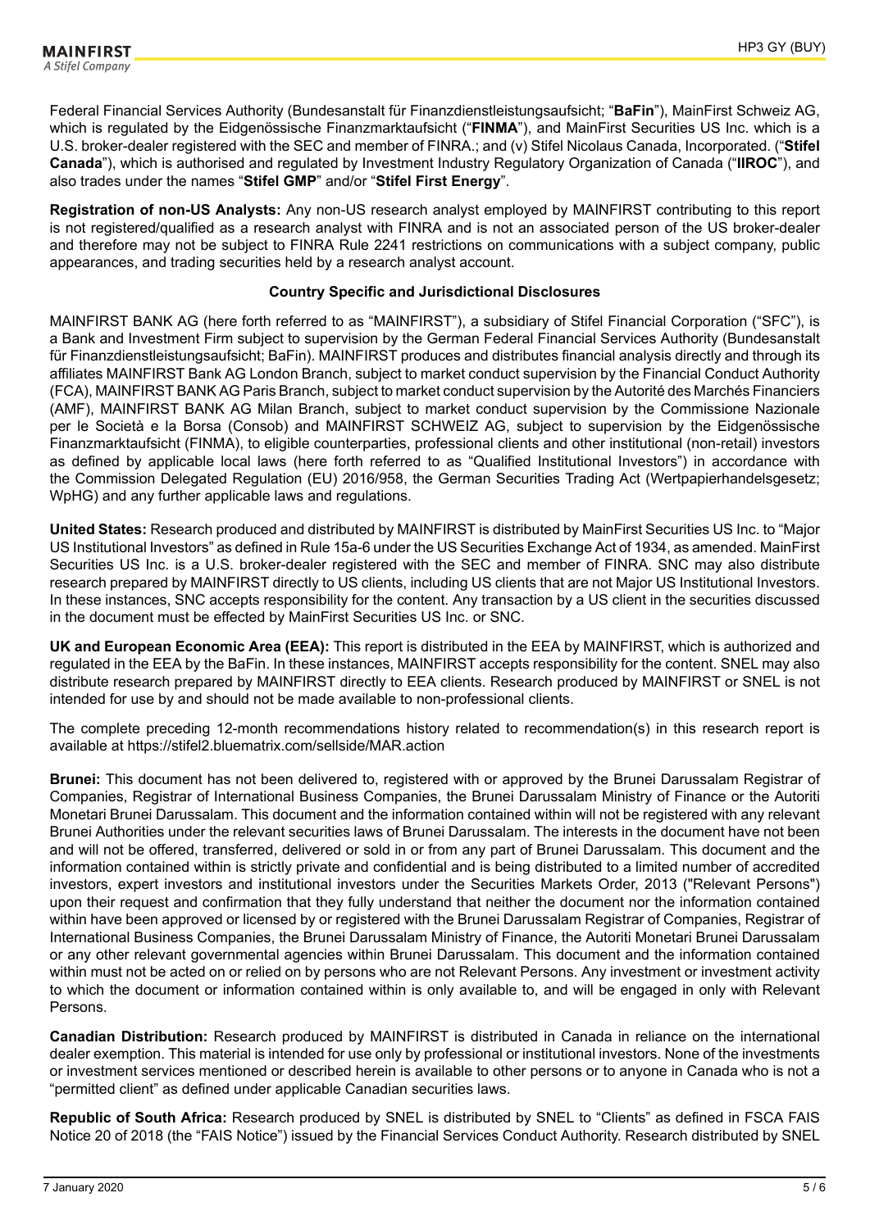Federal Financial Services Authority (Bundesanstalt für Finanzdienstleistungsaufsicht; "**BaFin**"), MainFirst Schweiz AG, which is regulated by the Eidgenössische Finanzmarktaufsicht ("FINMA"), and MainFirst Securities US Inc. which is a U.S. broker-dealer registered with the SEC and member of FINRA.; and (v) Stifel Nicolaus Canada, Incorporated. ("**Stifel Canada**"), which is authorised and regulated by Investment Industry Regulatory Organization of Canada ("**IIROC**"), and also trades under the names "**Stifel GMP**" and/or "**Stifel First Energy**".

**Registration of non-US Analysts:** Any non-US research analyst employed by MAINFIRST contributing to this report is not registered/qualified as a research analyst with FINRA and is not an associated person of the US broker-dealer and therefore may not be subject to FINRA Rule 2241 restrictions on communications with a subject company, public appearances, and trading securities held by a research analyst account.

### **Country Specific and Jurisdictional Disclosures**

MAINFIRST BANK AG (here forth referred to as "MAINFIRST"), a subsidiary of Stifel Financial Corporation ("SFC"), is a Bank and Investment Firm subject to supervision by the German Federal Financial Services Authority (Bundesanstalt für Finanzdienstleistungsaufsicht; BaFin). MAINFIRST produces and distributes financial analysis directly and through its affiliates MAINFIRST Bank AG London Branch, subject to market conduct supervision by the Financial Conduct Authority (FCA), MAINFIRST BANK AG Paris Branch, subject to market conduct supervision by the Autorité des Marchés Financiers (AMF), MAINFIRST BANK AG Milan Branch, subject to market conduct supervision by the Commissione Nazionale per le Società e la Borsa (Consob) and MAINFIRST SCHWEIZ AG, subject to supervision by the Eidgenössische Finanzmarktaufsicht (FINMA), to eligible counterparties, professional clients and other institutional (non-retail) investors as defined by applicable local laws (here forth referred to as "Qualified Institutional Investors") in accordance with the Commission Delegated Regulation (EU) 2016/958, the German Securities Trading Act (Wertpapierhandelsgesetz; WpHG) and any further applicable laws and regulations.

**United States:** Research produced and distributed by MAINFIRST is distributed by MainFirst Securities US Inc. to "Major US Institutional Investors" as defined in Rule 15a-6 under the US Securities Exchange Act of 1934, as amended. MainFirst Securities US Inc. is a U.S. broker-dealer registered with the SEC and member of FINRA. SNC may also distribute research prepared by MAINFIRST directly to US clients, including US clients that are not Major US Institutional Investors. In these instances, SNC accepts responsibility for the content. Any transaction by a US client in the securities discussed in the document must be effected by MainFirst Securities US Inc. or SNC.

**UK and European Economic Area (EEA):** This report is distributed in the EEA by MAINFIRST, which is authorized and regulated in the EEA by the BaFin. In these instances, MAINFIRST accepts responsibility for the content. SNEL may also distribute research prepared by MAINFIRST directly to EEA clients. Research produced by MAINFIRST or SNEL is not intended for use by and should not be made available to non-professional clients.

The complete preceding 12-month recommendations history related to recommendation(s) in this research report is available at https://stifel2.bluematrix.com/sellside/MAR.action

**Brunei:** This document has not been delivered to, registered with or approved by the Brunei Darussalam Registrar of Companies, Registrar of International Business Companies, the Brunei Darussalam Ministry of Finance or the Autoriti Monetari Brunei Darussalam. This document and the information contained within will not be registered with any relevant Brunei Authorities under the relevant securities laws of Brunei Darussalam. The interests in the document have not been and will not be offered, transferred, delivered or sold in or from any part of Brunei Darussalam. This document and the information contained within is strictly private and confidential and is being distributed to a limited number of accredited investors, expert investors and institutional investors under the Securities Markets Order, 2013 ("Relevant Persons") upon their request and confirmation that they fully understand that neither the document nor the information contained within have been approved or licensed by or registered with the Brunei Darussalam Registrar of Companies, Registrar of International Business Companies, the Brunei Darussalam Ministry of Finance, the Autoriti Monetari Brunei Darussalam or any other relevant governmental agencies within Brunei Darussalam. This document and the information contained within must not be acted on or relied on by persons who are not Relevant Persons. Any investment or investment activity to which the document or information contained within is only available to, and will be engaged in only with Relevant Persons.

**Canadian Distribution:** Research produced by MAINFIRST is distributed in Canada in reliance on the international dealer exemption. This material is intended for use only by professional or institutional investors. None of the investments or investment services mentioned or described herein is available to other persons or to anyone in Canada who is not a "permitted client" as defined under applicable Canadian securities laws.

**Republic of South Africa:** Research produced by SNEL is distributed by SNEL to "Clients" as defined in FSCA FAIS Notice 20 of 2018 (the "FAIS Notice") issued by the Financial Services Conduct Authority. Research distributed by SNEL